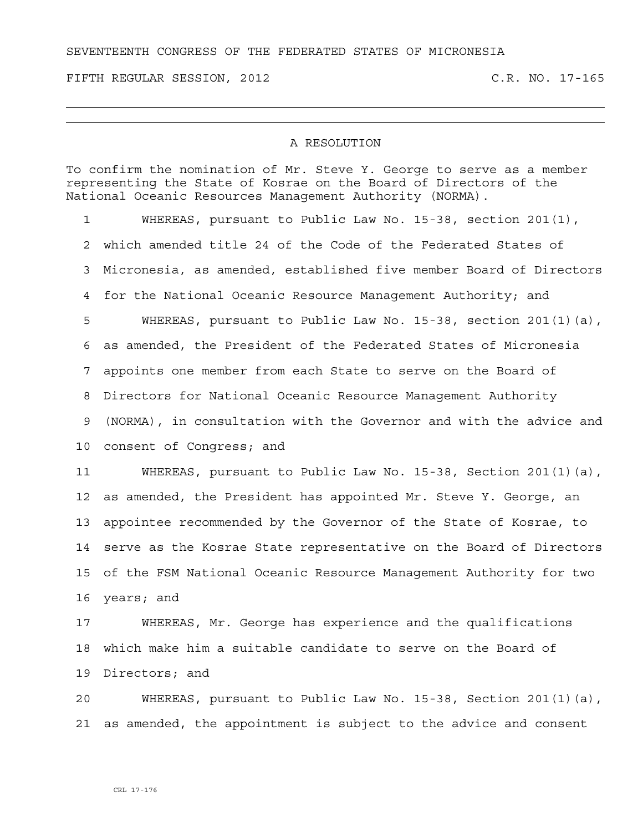## SEVENTEENTH CONGRESS OF THE FEDERATED STATES OF MICRONESIA

FIFTH REGULAR SESSION, 2012 C.R. NO. 17-165

## A RESOLUTION

To confirm the nomination of Mr. Steve Y. George to serve as a member representing the State of Kosrae on the Board of Directors of the National Oceanic Resources Management Authority (NORMA).

1 WHEREAS, pursuant to Public Law No. 15-38, section 201(1), 2 which amended title 24 of the Code of the Federated States of 3 Micronesia, as amended, established five member Board of Directors 4 for the National Oceanic Resource Management Authority; and 5 WHEREAS, pursuant to Public Law No. 15-38, section 201(1)(a), 6 as amended, the President of the Federated States of Micronesia 7 appoints one member from each State to serve on the Board of 8 Directors for National Oceanic Resource Management Authority 9 (NORMA), in consultation with the Governor and with the advice and 10 consent of Congress; and 11 WHEREAS, pursuant to Public Law No. 15-38, Section 201(1)(a), 12 as amended, the President has appointed Mr. Steve Y. George, an 13 appointee recommended by the Governor of the State of Kosrae, to 14 serve as the Kosrae State representative on the Board of Directors

15 of the FSM National Oceanic Resource Management Authority for two 16 years; and

17 WHEREAS, Mr. George has experience and the qualifications 18 which make him a suitable candidate to serve on the Board of 19 Directors; and

20 WHEREAS, pursuant to Public Law No. 15-38, Section 201(1)(a), 21 as amended, the appointment is subject to the advice and consent